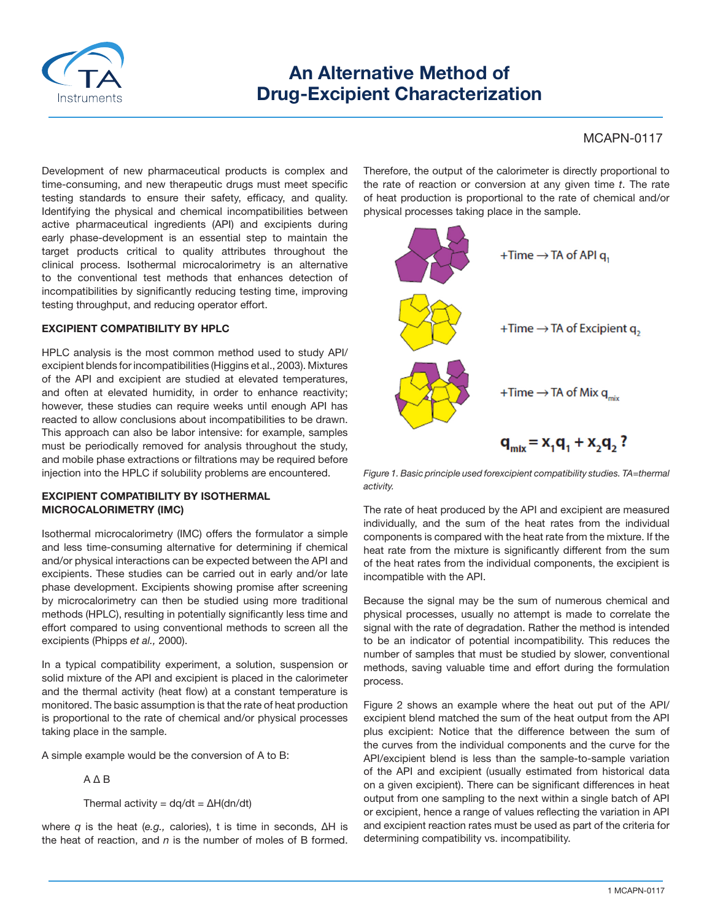

# **An Alternative Method of Drug-Excipient Characterization**

# MCAPN-0117

Development of new pharmaceutical products is complex and time-consuming, and new therapeutic drugs must meet specific testing standards to ensure their safety, efficacy, and quality. Identifying the physical and chemical incompatibilities between active pharmaceutical ingredients (API) and excipients during early phase-development is an essential step to maintain the target products critical to quality attributes throughout the clinical process. Isothermal microcalorimetry is an alternative to the conventional test methods that enhances detection of incompatibilities by significantly reducing testing time, improving testing throughput, and reducing operator effort.

## **EXCIPIENT COMPATIBILITY BY HPLC**

HPLC analysis is the most common method used to study API/ excipient blends for incompatibilities (Higgins et al., 2003). Mixtures of the API and excipient are studied at elevated temperatures, and often at elevated humidity, in order to enhance reactivity; however, these studies can require weeks until enough API has reacted to allow conclusions about incompatibilities to be drawn. This approach can also be labor intensive: for example, samples must be periodically removed for analysis throughout the study, and mobile phase extractions or filtrations may be required before injection into the HPLC if solubility problems are encountered.

## **EXCIPIENT COMPATIBILITY BY ISOTHERMAL MICROCALORIMETRY (IMC)**

Isothermal microcalorimetry (IMC) offers the formulator a simple and less time-consuming alternative for determining if chemical and/or physical interactions can be expected between the API and excipients. These studies can be carried out in early and/or late phase development. Excipients showing promise after screening by microcalorimetry can then be studied using more traditional methods (HPLC), resulting in potentially significantly less time and effort compared to using conventional methods to screen all the excipients (Phipps *et al.,* 2000).

In a typical compatibility experiment, a solution, suspension or solid mixture of the API and excipient is placed in the calorimeter and the thermal activity (heat flow) at a constant temperature is monitored. The basic assumption is that the rate of heat production is proportional to the rate of chemical and/or physical processes taking place in the sample.

A simple example would be the conversion of A to B:

A Δ B

Thermal activity =  $dq/dt = \Delta H(dn/dt)$ 

where *q* is the heat (*e.g.,* calories), t is time in seconds, ΔH is the heat of reaction, and *n* is the number of moles of B formed. Therefore, the output of the calorimeter is directly proportional to the rate of reaction or conversion at any given time *t*. The rate of heat production is proportional to the rate of chemical and/or physical processes taking place in the sample.



*Figure 1. Basic principle used forexcipient compatibility studies. TA=thermal activity.*

The rate of heat produced by the API and excipient are measured individually, and the sum of the heat rates from the individual components is compared with the heat rate from the mixture. If the heat rate from the mixture is significantly different from the sum of the heat rates from the individual components, the excipient is incompatible with the API.

Because the signal may be the sum of numerous chemical and physical processes, usually no attempt is made to correlate the signal with the rate of degradation. Rather the method is intended to be an indicator of potential incompatibility. This reduces the number of samples that must be studied by slower, conventional methods, saving valuable time and effort during the formulation process.

Figure 2 shows an example where the heat out put of the API/ excipient blend matched the sum of the heat output from the API plus excipient: Notice that the difference between the sum of the curves from the individual components and the curve for the API/excipient blend is less than the sample-to-sample variation of the API and excipient (usually estimated from historical data on a given excipient). There can be significant differences in heat output from one sampling to the next within a single batch of API or excipient, hence a range of values reflecting the variation in API and excipient reaction rates must be used as part of the criteria for determining compatibility vs. incompatibility.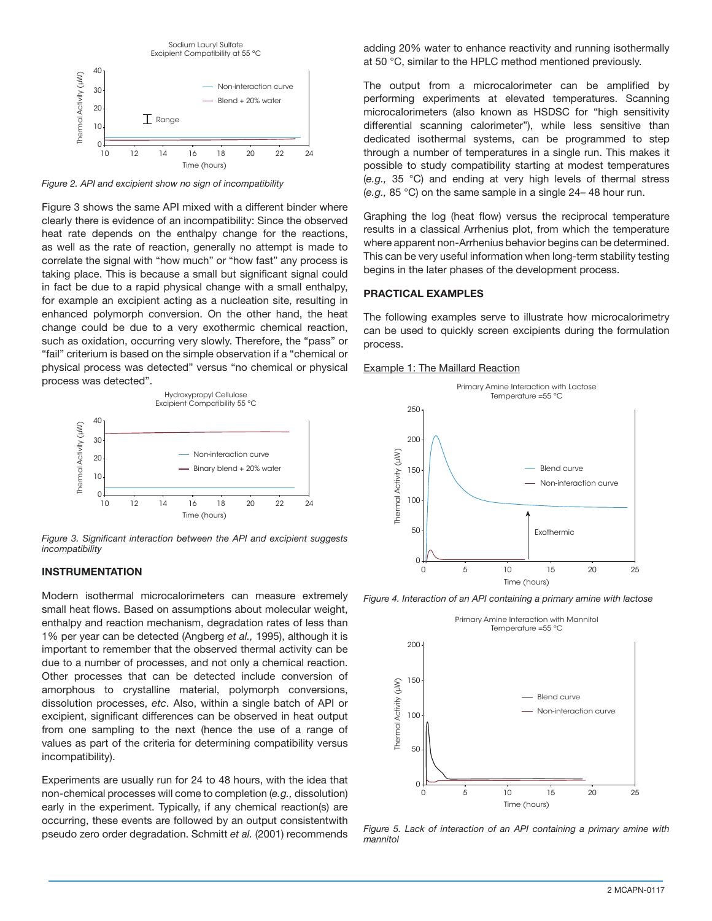

*Figure 2. API and excipient show no sign of incompatibility*

Figure 3 shows the same API mixed with a different binder where clearly there is evidence of an incompatibility: Since the observed heat rate depends on the enthalpy change for the reactions, as well as the rate of reaction, generally no attempt is made to correlate the signal with "how much" or "how fast" any process is taking place. This is because a small but significant signal could in fact be due to a rapid physical change with a small enthalpy, for example an excipient acting as a nucleation site, resulting in enhanced polymorph conversion. On the other hand, the heat change could be due to a very exothermic chemical reaction, such as oxidation, occurring very slowly. Therefore, the "pass" or "fail" criterium is based on the simple observation if a "chemical or physical process was detected" versus "no chemical or physical process was detected".



*Figure 3. Significant interaction between the API and excipient suggests incompatibility*

## **INSTRUMENTATION**

Modern isothermal microcalorimeters can measure extremely small heat flows. Based on assumptions about molecular weight, enthalpy and reaction mechanism, degradation rates of less than 1% per year can be detected (Angberg *et al.,* 1995), although it is important to remember that the observed thermal activity can be due to a number of processes, and not only a chemical reaction. Other processes that can be detected include conversion of amorphous to crystalline material, polymorph conversions, dissolution processes, *etc*. Also, within a single batch of API or excipient, significant differences can be observed in heat output from one sampling to the next (hence the use of a range of values as part of the criteria for determining compatibility versus incompatibility).

Experiments are usually run for 24 to 48 hours, with the idea that non-chemical processes will come to completion (*e.g.,* dissolution) early in the experiment. Typically, if any chemical reaction(s) are occurring, these events are followed by an output consistentwith pseudo zero order degradation. Schmitt *et al.* (2001) recommends adding 20% water to enhance reactivity and running isothermally at 50 °C, similar to the HPLC method mentioned previously.

The output from a microcalorimeter can be amplified by performing experiments at elevated temperatures. Scanning microcalorimeters (also known as HSDSC for "high sensitivity differential scanning calorimeter"), while less sensitive than dedicated isothermal systems, can be programmed to step through a number of temperatures in a single run. This makes it possible to study compatibility starting at modest temperatures (*e.g.,* 35 °C) and ending at very high levels of thermal stress (*e.g.,* 85 °C) on the same sample in a single 24– 48 hour run.

Graphing the log (heat flow) versus the reciprocal temperature results in a classical Arrhenius plot, from which the temperature where apparent non-Arrhenius behavior begins can be determined. This can be very useful information when long-term stability testing begins in the later phases of the development process.

#### **PRACTICAL EXAMPLES**

The following examples serve to illustrate how microcalorimetry can be used to quickly screen excipients during the formulation process.

#### Example 1: The Maillard Reaction



*Figure 4. Interaction of an API containing a primary amine with lactose*



*Figure 5. Lack of interaction of an API containing a primary amine with mannitol*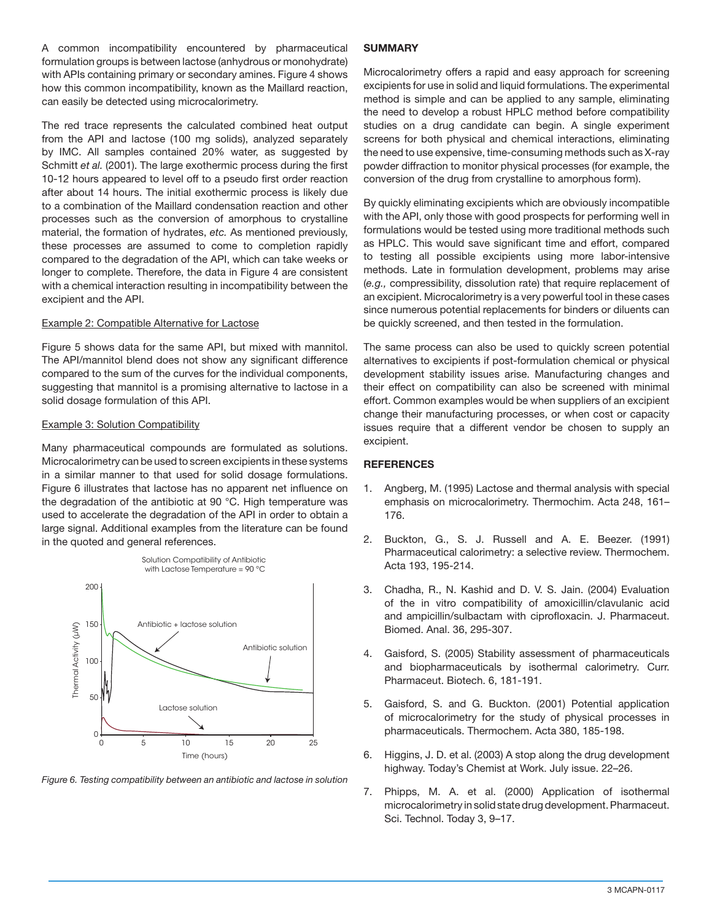A common incompatibility encountered by pharmaceutical formulation groups is between lactose (anhydrous or monohydrate) with APIs containing primary or secondary amines. Figure 4 shows how this common incompatibility, known as the Maillard reaction, can easily be detected using microcalorimetry.

The red trace represents the calculated combined heat output from the API and lactose (100 mg solids), analyzed separately by IMC. All samples contained 20% water, as suggested by Schmitt *et al.* (2001). The large exothermic process during the first 10-12 hours appeared to level off to a pseudo first order reaction after about 14 hours. The initial exothermic process is likely due to a combination of the Maillard condensation reaction and other processes such as the conversion of amorphous to crystalline material, the formation of hydrates, *etc.* As mentioned previously, these processes are assumed to come to completion rapidly compared to the degradation of the API, which can take weeks or longer to complete. Therefore, the data in Figure 4 are consistent with a chemical interaction resulting in incompatibility between the excipient and the API.

## Example 2: Compatible Alternative for Lactose

Figure 5 shows data for the same API, but mixed with mannitol. The API/mannitol blend does not show any significant difference compared to the sum of the curves for the individual components, suggesting that mannitol is a promising alternative to lactose in a solid dosage formulation of this API.

## Example 3: Solution Compatibility

Many pharmaceutical compounds are formulated as solutions. Microcalorimetry can be used to screen excipients in these systems in a similar manner to that used for solid dosage formulations. Figure 6 illustrates that lactose has no apparent net influence on the degradation of the antibiotic at 90 °C. High temperature was used to accelerate the degradation of the API in order to obtain a large signal. Additional examples from the literature can be found in the quoted and general references.



*Figure 6. Testing compatibility between an antibiotic and lactose in solution*

## **SUMMARY**

Microcalorimetry offers a rapid and easy approach for screening excipients for use in solid and liquid formulations. The experimental method is simple and can be applied to any sample, eliminating the need to develop a robust HPLC method before compatibility studies on a drug candidate can begin. A single experiment screens for both physical and chemical interactions, eliminating the need to use expensive, time-consuming methods such as X-ray powder diffraction to monitor physical processes (for example, the conversion of the drug from crystalline to amorphous form).

By quickly eliminating excipients which are obviously incompatible with the API, only those with good prospects for performing well in formulations would be tested using more traditional methods such as HPLC. This would save significant time and effort, compared to testing all possible excipients using more labor-intensive methods. Late in formulation development, problems may arise (*e.g.,* compressibility, dissolution rate) that require replacement of an excipient. Microcalorimetry is a very powerful tool in these cases since numerous potential replacements for binders or diluents can be quickly screened, and then tested in the formulation.

The same process can also be used to quickly screen potential alternatives to excipients if post-formulation chemical or physical development stability issues arise. Manufacturing changes and their effect on compatibility can also be screened with minimal effort. Common examples would be when suppliers of an excipient change their manufacturing processes, or when cost or capacity issues require that a different vendor be chosen to supply an excipient.

# **REFERENCES**

- 1. Angberg, M. (1995) Lactose and thermal analysis with special emphasis on microcalorimetry. Thermochim. Acta 248, 161– 176.
- 2. Buckton, G., S. J. Russell and A. E. Beezer. (1991) Pharmaceutical calorimetry: a selective review. Thermochem. Acta 193, 195-214.
- 3. Chadha, R., N. Kashid and D. V. S. Jain. (2004) Evaluation of the in vitro compatibility of amoxicillin/clavulanic acid and ampicillin/sulbactam with ciprofloxacin. J. Pharmaceut. Biomed. Anal. 36, 295-307.
- 4. Gaisford, S. (2005) Stability assessment of pharmaceuticals and biopharmaceuticals by isothermal calorimetry. Curr. Pharmaceut. Biotech. 6, 181-191.
- 5. Gaisford, S. and G. Buckton. (2001) Potential application of microcalorimetry for the study of physical processes in pharmaceuticals. Thermochem. Acta 380, 185-198.
- 6. Higgins, J. D. et al. (2003) A stop along the drug development highway. Today's Chemist at Work. July issue. 22–26.
- 7. Phipps, M. A. et al. (2000) Application of isothermal microcalorimetry in solid state drug development. Pharmaceut. Sci. Technol. Today 3, 9–17.